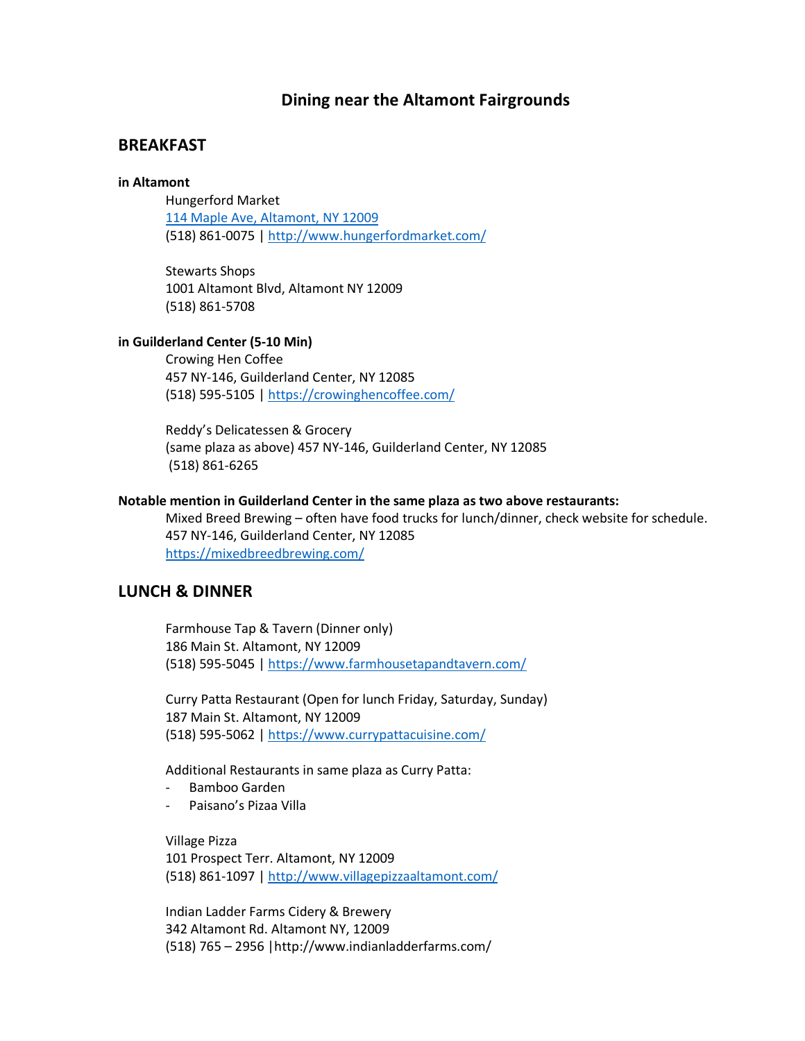### **Dining near the Altamont Fairgrounds**

## **BREAKFAST**

#### **in Altamont**

Hungerford Market 114 Maple Ave, Altamont, NY 12009 (518) 861-0075 | http://www.hungerfordmarket.com/

Stewarts Shops 1001 Altamont Blvd, Altamont NY 12009 (518) 861-5708

#### **in Guilderland Center (5-10 Min)**

Crowing Hen Coffee 457 NY-146, Guilderland Center, NY 12085 (518) 595-5105 | https://crowinghencoffee.com/

Reddy's Delicatessen & Grocery (same plaza as above) 457 NY-146, Guilderland Center, NY 12085 (518) 861-6265

#### **Notable mention in Guilderland Center in the same plaza as two above restaurants:**

Mixed Breed Brewing – often have food trucks for lunch/dinner, check website for schedule. 457 NY-146, Guilderland Center, NY 12085 https://mixedbreedbrewing.com/

### **LUNCH & DINNER**

Farmhouse Tap & Tavern (Dinner only) 186 Main St. Altamont, NY 12009 (518) 595-5045 | https://www.farmhousetapandtavern.com/

Curry Patta Restaurant (Open for lunch Friday, Saturday, Sunday) 187 Main St. Altamont, NY 12009 (518) 595-5062 | https://www.currypattacuisine.com/

Additional Restaurants in same plaza as Curry Patta:

- Bamboo Garden
- Paisano's Pizaa Villa

Village Pizza 101 Prospect Terr. Altamont, NY 12009 (518) 861-1097 | http://www.villagepizzaaltamont.com/

Indian Ladder Farms Cidery & Brewery 342 Altamont Rd. Altamont NY, 12009 (518) 765 – 2956 |http://www.indianladderfarms.com/